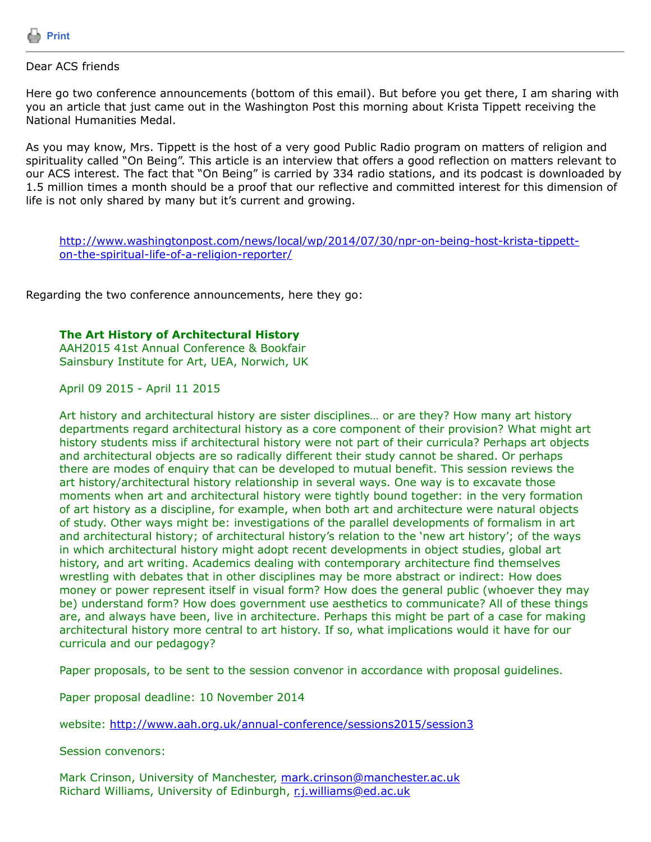

## Dear ACS friends

Here go two conference announcements (bottom of this email). But before you get there, I am sharing with you an article that just came out in the Washington Post this morning about Krista Tippett receiving the National Humanities Medal.

As you may know, Mrs. Tippett is the host of a very good Public Radio program on matters of religion and spirituality called "On Being". This article is an interview that offers a good reflection on matters relevant to our ACS interest. The fact that "On Being" is carried by 334 radio stations, and its podcast is downloaded by 1.5 million times a month should be a proof that our reflective and committed interest for this dimension of life is not only shared by many but it's current and growing.

[http://www.washingtonpost.com/news/local/wp/2014/07/30/npr-on-being-host-krista-tippett](http://www.washingtonpost.com/news/local/wp/2014/07/30/npr-on-being-host-krista-tippett-on-the-spiritual-life-of-a-religion-reporter/)on-the-spiritual-life-of-a-religion-reporter/

Regarding the two conference announcements, here they go:

## **The Art History of Architectural History**

AAH2015 41st Annual Conference & Bookfair Sainsbury Institute for Art, UEA, Norwich, UK

April 09 2015 - April 11 2015

Art history and architectural history are sister disciplines… or are they? How many art history departments regard architectural history as a core component of their provision? What might art history students miss if architectural history were not part of their curricula? Perhaps art objects and architectural objects are so radically different their study cannot be shared. Or perhaps there are modes of enquiry that can be developed to mutual benefit. This session reviews the art history/architectural history relationship in several ways. One way is to excavate those moments when art and architectural history were tightly bound together: in the very formation of art history as a discipline, for example, when both art and architecture were natural objects of study. Other ways might be: investigations of the parallel developments of formalism in art and architectural history; of architectural history's relation to the 'new art history'; of the ways in which architectural history might adopt recent developments in object studies, global art history, and art writing. Academics dealing with contemporary architecture find themselves wrestling with debates that in other disciplines may be more abstract or indirect: How does money or power represent itself in visual form? How does the general public (whoever they may be) understand form? How does government use aesthetics to communicate? All of these things are, and always have been, live in architecture. Perhaps this might be part of a case for making architectural history more central to art history. If so, what implications would it have for our curricula and our pedagogy?

Paper proposals, to be sent to the session convenor in accordance with proposal guidelines.

Paper proposal deadline: 10 November 2014

website:<http://www.aah.org.uk/annual-conference/sessions2015/session3>

Session convenors:

Mark Crinson, University of Manchester, [mark.crinson@manchester.ac.uk](https://listserv.tamu.edu/cgi-bin/mark.crinson@manchester.ac.uk) Richard Williams, University of Edinburgh, [r.j.williams@ed.ac.uk](https://listserv.tamu.edu/cgi-bin/r.j.williams@ed.ac.uk)